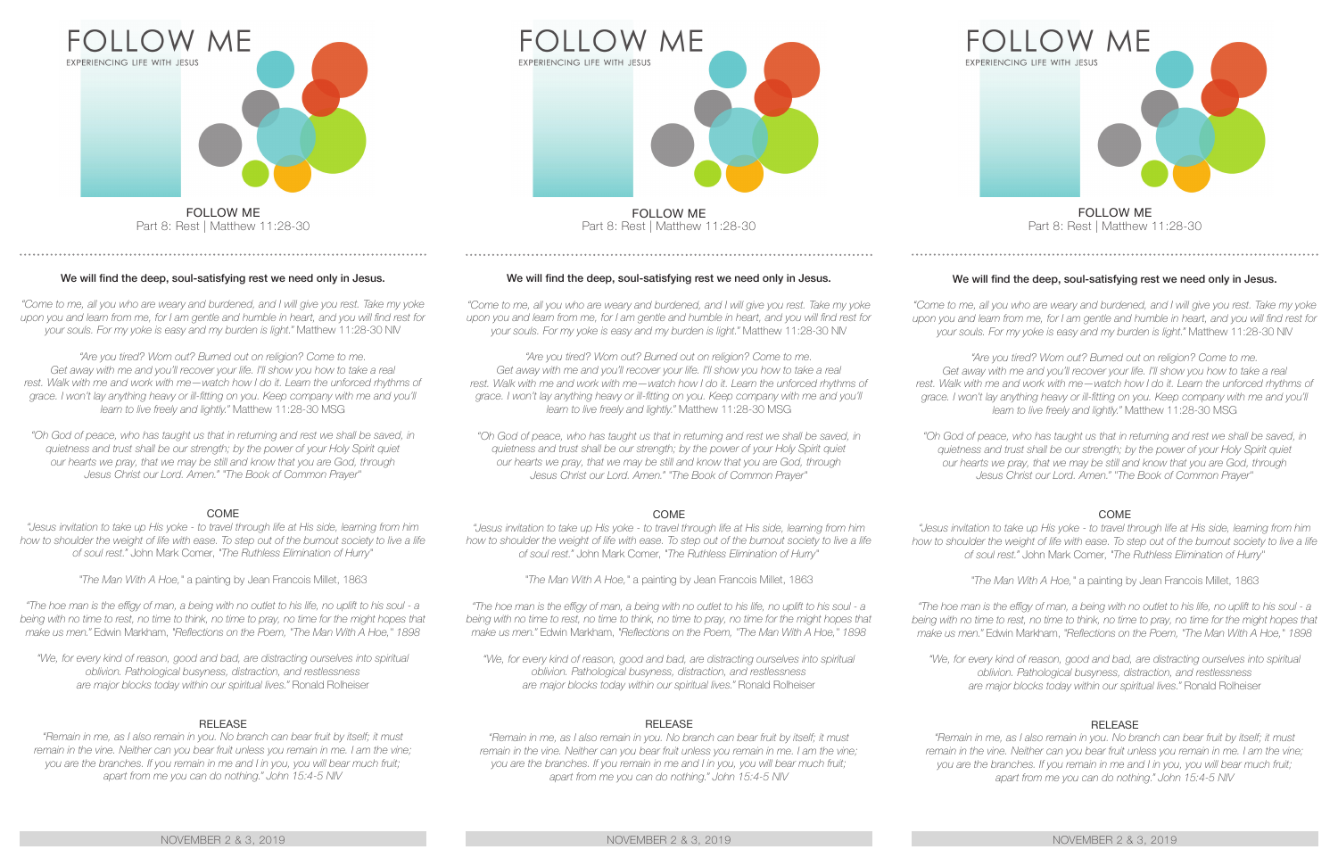

Part 8: Rest | Matthew 11:28-30

# We will find the deep, soul-satisfying rest we need only in Jesus.

*"Come to me, all you who are weary and burdened, and I will give you rest. Take my yoke upon you and learn from me, for I am gentle and humble in heart, and you will find rest for your souls. For my yoke is easy and my burden is light."* Matthew 11:28-30 NIV

"Are you tired? Worn out? Burned out on religion? Come to me. Get away with me and you'll recover your life. I'll show you how to take a real rest. Walk with me and work with me—watch how I do it. Learn the unforced rhythms of *grace. I won't lay anything heavy or ill-fitting on you. Keep company with me and you'll learn to live freely and lightly."* Matthew 11:28-30 MSG

*"Oh God of peace, who has taught us that in returning and rest we shall be saved, in quietness and trust shall be our strength; by the power of your Holy Spirit quiet our hearts we pray, that we may be still and know that you are God, through Jesus Christ our Lord. Amen." "The Book of Common Prayer"*

# COME

*"Jesus invitation to take up His yoke - to travel through life at His side, learning from him*  how to shoulder the weight of life with ease. To step out of the burnout society to live a life *of soul rest."* John Mark Comer, *"The Ruthless Elimination of Hurry"*

*"The Man With A Hoe,"* a painting by Jean Francois Millet, 1863

*"The hoe man is the effigy of man, a being with no outlet to his life, no uplift to his soul - a being with no time to rest, no time to think, no time to pray, no time for the might hopes that make us men."* Edwin Markham, *"Reflections on the Poem, "The Man With A Hoe," 1898*

*"We, for every kind of reason, good and bad, are distracting ourselves into spiritual oblivion. Pathological busyness, distraction, and restlessness are major blocks today within our spiritual lives."* Ronald Rolheiser

# RELEASE

*"Remain in me, as I also remain in you. No branch can bear fruit by itself; it must remain in the vine. Neither can you bear fruit unless you remain in me. I am the vine; you are the branches. If you remain in me and I in you, you will bear much fruit; apart from me you can do nothing." John 15:4-5 NIV*